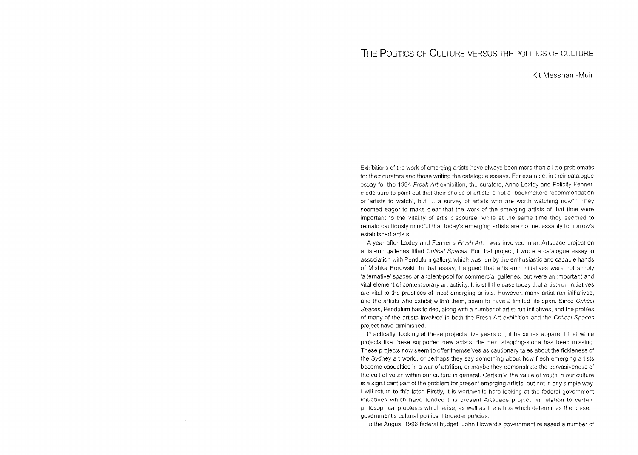## **THE POLITICS OF CULTURE** VERSUS THE POLITICS OF CULTURE

## Kit Messham-Muir

Exhibitions of the work of emerging artists have always been more than a little problematic for their curators and those writing the catalogue essays. For example, in their catalogue essay for the 1994 Fresh Art exhibition, the curators, Anne Loxley and Felicity Fenner, made sure to point out that their choice of artists is not a "bookmakers recommendation of 'artists to watch', but  $\ldots$  a survey of artists who are worth watching now".<sup>1</sup> They seemed eager to make clear that the work of the emerging artists of that time were important to the vitality of art's discourse, while at the same time they seemed to remain cautiously mindful that today's emerging artists are not necessarily tomorrow's established artists.

A year after Loxley and Fenner's Fresh Art, I was involved in an Artspace project on artist-run galleries titled Critical Spaces. For that project, I wrote a catalogue essay in association with Pendulum gallery, which was run by the enthusiastic and capable hands of Mishka Borowski. In that essay, I argued that artist-run initiatives were not simply 'alternative' spaces or a talent-pool for commercial galleries, but were an important and vital element of contemporary art activity. It is still the case today that artist-run initiatives are vital to the practices of most emerging artists. However, many artist-run initiatives, and the artists who exhibit within them, seem to have a limited life span. Since Critical Spaces, Pendulum has folded, along with a number of artist-run initiatives, and the profiles of many of the artists involved in both the Fresh Art exhibition and the Critical Spaces project have diminished.

Practically, looking at these projects five years on, it becomes apparent that while projects like these supported new artists, the next stepping-stone has been missing. These projects now seem to offer themselves as cautionary tales about the fickleness of the Sydney art world, or perhaps they say something about how fresh emerging artists become casualties in a war of attrition, or maybe they demonstrate the pervasiveness of the cult of youth within our culture in general. Certainly, the value of youth in our culture is a significant part of the problem for present emerging artists, but not in any simple way. I will return to this later. Firstly, it is worthwhile here looking at the federal government initiatives which have funded this present Artspace project, in relation to certain philosophical problems which arise, as well as the ethos which determines the present government's cultural politics it broader policies.

In the August 1996 federal budget, John Howard's government released a number of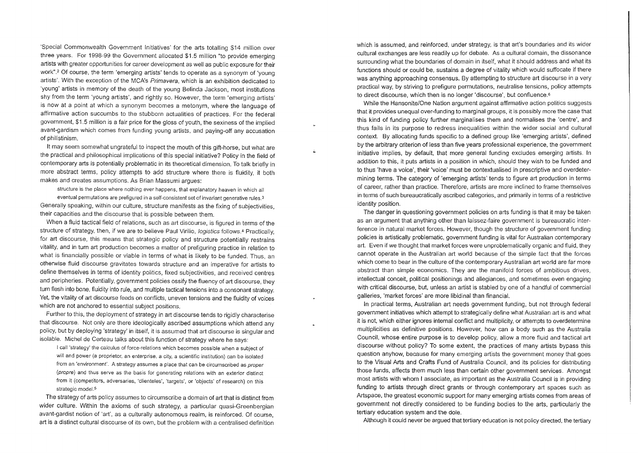'Special Commonwealth Government Initiatives' for the arts totalling \$14 million over three years. For 1998-99 the Government allocated \$1.5 million "to provide emerging artists with greater opportunities for career development as well as public exposure for their work".<sup>2</sup> Of course, the term 'emerging artists' tends to operate as a synonym of 'young artists'. With the exception of the MCA's Primavera, which is an exhibition dedicated to 'young' artists in memory of the death of the young Belinda Jackson, most institutions shy from the term 'young artists', and rightly so. However, the term 'emerging artists' is now at a point at which a synonym becomes a metonym, where the language of affirmative action succumbs to the stubborn actualities of practices. For the federal government, \$1.5 million is a fair price for the gloss of youth, the sexiness of the implied avant-gardism which comes from funding young artists, and paying-off any accusation of philistinism.

It may seem somewhat ungrateful to inspect the mouth of this gift-horse, but what are the practical and philosophical implications of this special initiative? Policy in the field of contemporary arts is potentially problematic in its theoretical dimension. To talk briefly in more abstract terms, policy attempts to add structure where there is fluidity, it both makes and creates assumptions. As Brian Massumi argues:

structure is the place where nothing ever happens, that explanatory heaven in which all

eventual permutations are prefigured in a self-consistent set of invariant generative rules. 3 Generally speaking, within our culture, structure manifests as the fixing of subjectivities, their capacities and the discourse that is possible between them.

When a fluid tactical field of relations, such as art discourse, is figured in terms of the structure of strategy, then, if we are to believe Paul Virilio, logistics follows.• Practically, for art discourse, this means that strategic policy and structure potentially restrains vitality, and in turn art production becomes a matter of prefiguring practice in relation to what is financially possible or viable in terms of what is likely to be funded. Thus, an otherwise fluid discourse gravitates towards structure and an imperative for artists to define themselves in terms of identity politics, fixed subjectivities, and received centres and peripheries. Potentially, government policies ossify the fluency of art discourse, they turn flesh into bone, fluidity into rule, and multiple tactical tensions into a consonant strategy. Yet, the vitality of art discourse feeds on conflicts, uneven tensions and the fluidity of voices which are not anchored to essential subject positions.

Further to this, the deployment of strategy in art discourse tends to rigidly characterise that discourse. Not only are there ideologically ascribed assumptions which attend any policy, but by deploying 'strategy' in itself, it is assumed that art discourse is singular and isolable. Michel de Certeau talks about this function of strategy where he says:

I call 'strategy' the calculus of force-relations which becomes possible when a subject of will and power (a proprietor, an enterprise, a city, a scientific institution) can be isolated from an 'environment'. A strategy assumes a place that can be circumscribed as proper (propre) and thus serve as the basis for generating relations with an exterior distinct from it (competitors, adversaries, 'clienteles', 'targets', or 'objects' of research) on this strategic model.<sup>5</sup>

The strategy of arts policy assumes to circumscribe a domain of art that is distinct from wider culture. Within the axioms of such strategy, a particular quasi-Greenbergian avant-gardist notion of 'art', as a culturally autonomous realm, is reinforced. Of course, art is a distinct cultural discourse of its own, but the problem with a centralised definition

which is assumed, and reinforced, under strategy, is that art's boundaries and its wider cultural exchanges are less readily up for debate. As a cultural domain, the dissonance surrounding what the boundaries of domain in itself, what it should address and what its functions should or could be, sustains a degree of vitality which would suffocate if there was anything approaching consensus. By attempting to structure art discourse in a very practical way, by striving to prefigure permutations, neutralise tensions, policy attempts to direct discourse, which then is no longer 'discourse', but confluence.<sup>6</sup>

While the Hansonite/One Nation argument against affirmative action politics suggests that it provides unequal over-funding to marginal groups, it is possibly more the case that this kind of funding policy further marginalises them and normalises the 'centre', and thus fails in its purpose to redress inequalities within the wider social and cultural context. By allocating funds specific to a defined group like 'emerging artists', defined by the arbitrary criterion of less than five years professional experience, the government initiative implies, by default, that more general funding excludes emerging artists. In addition to this, it puts artists in a position in which, should they wish to be funded and to thus 'have a voice', their 'voice' must be contextualised in prescriptive and overdetermining terms. The category of 'emerging artists' tends to figure art production in terms of career, rather than practice. Therefore, artists are more inclined to frame themselves in terms of such bureaucratically ascribed categories, and primarily in terms of a restrictive identity position.

The danger in questioning government policies on arts funding is that it may be taken as an argument that anything other than laissez-faire government is bureaucratic interference in natural market forces. However, though the structure of government funding policies is artistically problematic, government funding is vital for Australian contemporary art. Even if we thought that market forces were unproblematically organic and fluid, they cannot operate in the Australian art world because of the simple fact that the forces which come to bear in the culture of the contemporary Australian art world are far more abstract than simple economics. They are the manifold forces of ambitious drives, intellectual conceit, political positionings and allegiances, and sometimes even engaging with critical discourse, but, unless an artist is stabled by one of a handful of commercial galleries, 'market forces' are more libidinal than financial.

In practical terms, Australian art needs government funding, but not through federal government initiatives which attempt to strategically define what Australian art is and what it is not, which either ignores internal conflict and multiplicity, or attempts to overdetermine multiplicities as definitive positions. However, how can a body such as the Australia Council, whose entire purpose is to develop policy, allow a more fluid and tactical art discourse without policy? To some extent, the practices of many artists bypass this question anyhow, because for many emerging artists the government money that goes to the Visual Arts and Crafts Fund of Australia Council, and its policies for distributing those funds, affects them much less than certain other government services. Amongst most artists with whom I associate, as important as the Australia Council is in providing funding to artists through direct grants or through contemporary art spaces such as Artspace, the greatest economic support for many emerging artists comes from areas of government not directly considered to be funding bodies to the arts, particularly the tertiary education system and the dole.

Although it could never be argued that tertiary education is not policy directed, the tertiary